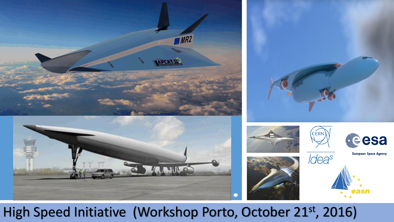

### High Speed Initiative (Workshop Porto, October 21st, 2016)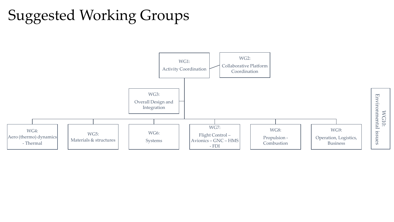# Suggested Working Groups

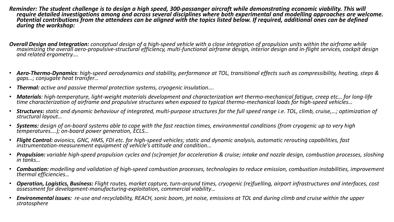- *Reminder: The student challenge is to design a high speed, 300-passanger aircraft while demonstrating economic viability. This will require detailed investigations among and across several disciplines where both experimental and modelling approaches are welcome. Potential contributions from the attendees can be aligned with the topics listed below. If required, additional ones can be defined during the workshop:*
- *Overall Design and Integration: conceptual design of a high-speed vehicle with a close integration of propulsion units within the airframe while maximizing the overall aero-propulsive-structural efficiency, multi-functional airframe design, interior design and in-flight services, cockpit design and related ergometry….*
- *Aero-Thermo-Dynamics: high-speed aerodynamics and stability, performance at TOL, transitional effects such as compressibility, heating, steps & gaps…; conjugate heat transfer…*
- *Thermal: active and passive thermal protection systems, cryogenic insulation….*
- *Materials: high-temperature, light-weight materials development and characterization wrt thermo-mechanical fatigue, creep etc… for long-life time characterization of airframe and propulsive structures when exposed to typical thermo-mechanical loads for high-speed vehicles…*
- *Structures: static and dynamic behaviour of integrated, multi-purpose structures for the full speed range i.e. TOL, climb, cruise,…; optimization of structural layout…*
- *Systems: design of on-board systems able to cope with the fast reaction times, environmental conditions (from cryogenic up to very high temperatures….); on-board power generation, ECLS…*
- *Flight Control: avionics, GNC, HMS, FDI etc. for high-speed vehicles; static and dynamic analysis, automatic rerouting capabilities, fast instrumentation-measurement equipment of vehicle's attitude and condition…*
- *Propulsion: variable high-speed propulsion cycles and (sc)ramjet for acceleration & cruise; intake and nozzle design, combustion processes, sloshing in tanks…*
- *Combustion: modelling and validation of high-speed combustion processes, technologies to reduce emission, combustion instabilities, improvement thermal efficiencies…*
- *Operation, Logistics, Business: Flight routes, market capture, turn-around times, cryogenic (re)fuelling, airport infrastructures and interfaces, cost assessment for development-manufacturing-exploitation, commercial viability…*
- *Environmental issues: re-use and recyclability, REACH, sonic boom, jet noise, emissions at TOL and during climb and cruise within the upper stratosphere*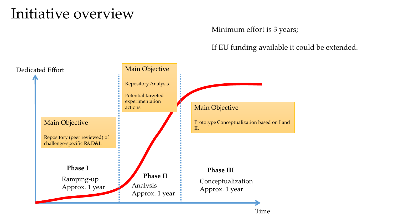### Initiative overview

### Minimum effort is 3 years;

If EU funding available it could be extended.

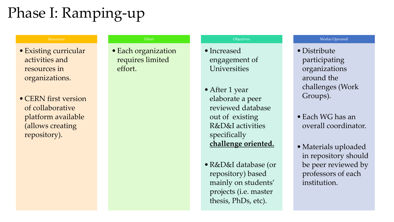# Phase I: Ramping-up

#### Resources

- •Existing curricular activities and resources in organizations.
- CERN first version of collaborative platform available (allows creating repository).

#### Effort

• Each organization requires limited effort.

#### **Objectives**

- Increased engagement of Universities
- •After 1 year elaborate a peer reviewed database out of existing R&D&I activities specifically **challenge oriented.**
- •R&D&I database (or repository) based mainly on students' projects (i.e. master thesis, PhDs, etc).

#### Modus Operandi

- Distribute participating organizations around the challenges (Work Groups).
- •Each WG has an overall coordinator.
- •Materials uploaded in repository should be peer reviewed by professors of each institution.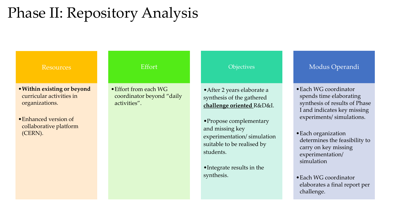## Phase II: Repository Analysis

#### Resources

- •**Within existing or beyond** curricular activities in organizations.
- •Enhanced version of collaborative platform (CERN).

#### Effort

•Effort from each WG coordinator beyond "daily activities".

#### **Objectives**

- •After 2 years elaborate a synthesis of the gathered **challenge oriented** R&D&I.
- •Propose complementary and missing key experimentation/ simulation suitable to be realised by students.
- •Integrate results in the synthesis.

#### Modus Operandi

- •Each WG coordinator spends time elaborating synthesis of results of Phase I and indicates key missing experiments/ simulations.
- •Each organization determines the feasibility to carry on key missing experimentation/ simulation
- •Each WG coordinator elaborates a final report per challenge.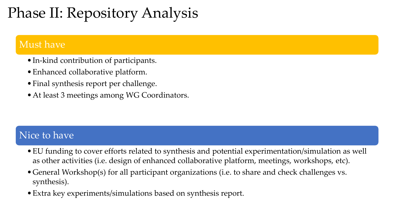# Phase II: Repository Analysis

### Must have

- •In-kind contribution of participants.
- •Enhanced collaborative platform.
- •Final synthesis report per challenge.
- •At least 3 meetings among WG Coordinators.

### Nice to have

- •EU funding to cover efforts related to synthesis and potential experimentation/simulation as well as other activities (i.e. design of enhanced collaborative platform, meetings, workshops, etc).
- •General Workshop(s) for all participant organizations (i.e. to share and check challenges vs. synthesis).
- •Extra key experiments/simulations based on synthesis report.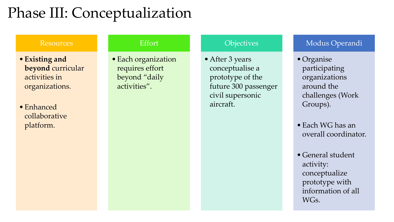## Phase III: Conceptualization

#### Resources

- •**Existing and beyond** curricular activities in organizations.
- •Enhanced collaborative platform.

### Effort

•Each organization requires effort beyond "daily activities".

### **Objectives**

•After 3 years conceptualise a prototype of the future 300 passenger civil supersonic aircraft.

### Modus Operandi

•Organise participating organizations around the challenges (Work Groups).

•Each WG has an overall coordinator.

•General student activity: conceptualize prototype with information of all WG<sub>S</sub>.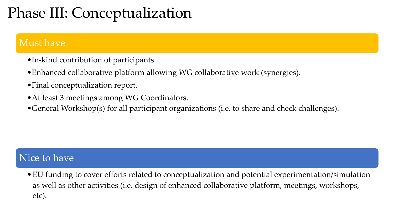## Phase III: Conceptualization

### Must have

- •In-kind contribution of participants.
- •Enhanced collaborative platform allowing WG collaborative work (synergies).
- •Final conceptualization report.
- •At least 3 meetings among WG Coordinators.
- •General Workshop(s) for all participant organizations (i.e. to share and check challenges).

### Nice to have

•EU funding to cover efforts related to conceptualization and potential experimentation/simulation as well as other activities (i.e. design of enhanced collaborative platform, meetings, workshops, etc).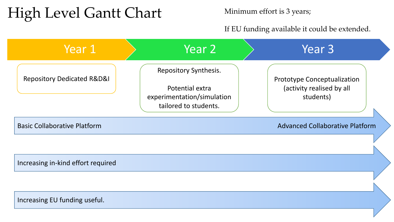## High Level Gantt Chart

Minimum effort is 3 years;

If EU funding available it could be extended.

| Year 1                                    | Year 2                                                                                          | Year 3                                                                       |
|-------------------------------------------|-------------------------------------------------------------------------------------------------|------------------------------------------------------------------------------|
| <b>Repository Dedicated R&amp;D&amp;I</b> | Repository Synthesis.<br>Potential extra<br>experimentation/simulation<br>tailored to students. | <b>Prototype Conceptualization</b><br>(activity realised by all<br>students) |
| <b>Basic Collaborative Platform</b>       |                                                                                                 | <b>Advanced Collaborative Platform</b>                                       |
|                                           |                                                                                                 |                                                                              |
| Increasing in-kind effort required        |                                                                                                 |                                                                              |
|                                           |                                                                                                 |                                                                              |
| Increasing EU funding useful.             |                                                                                                 |                                                                              |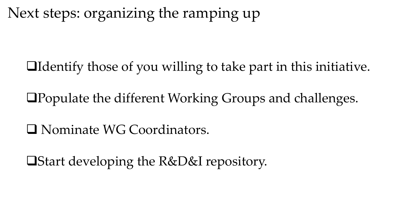Next steps: organizing the ramping up

Identify those of you willing to take part in this initiative.

Populate the different Working Groups and challenges.

Nominate WG Coordinators.

Start developing the R&D&I repository.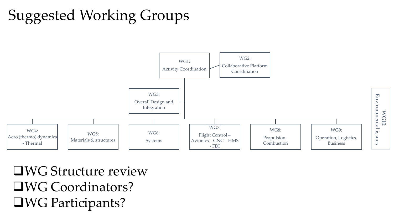# Suggested Working Groups



WG Structure review WG Coordinators? WG Participants?